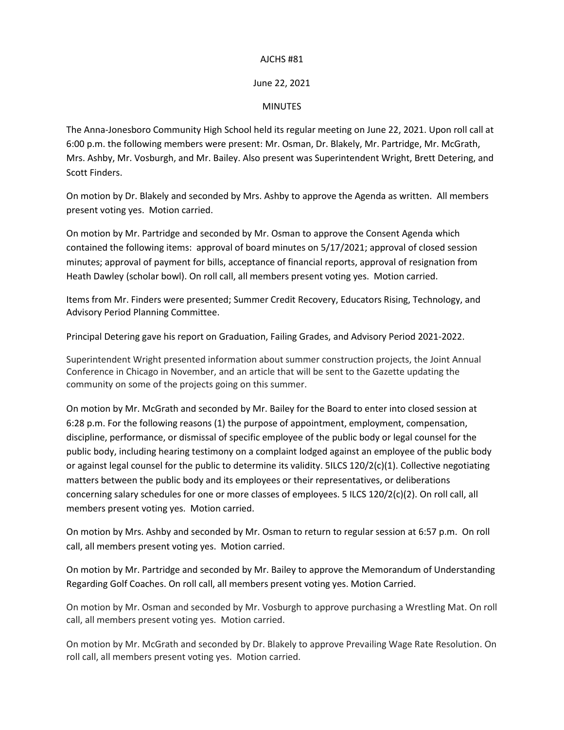## AJCHS #81

## June 22, 2021

## MINUTES

The Anna-Jonesboro Community High School held its regular meeting on June 22, 2021. Upon roll call at 6:00 p.m. the following members were present: Mr. Osman, Dr. Blakely, Mr. Partridge, Mr. McGrath, Mrs. Ashby, Mr. Vosburgh, and Mr. Bailey. Also present was Superintendent Wright, Brett Detering, and Scott Finders.

On motion by Dr. Blakely and seconded by Mrs. Ashby to approve the Agenda as written. All members present voting yes. Motion carried.

On motion by Mr. Partridge and seconded by Mr. Osman to approve the Consent Agenda which contained the following items: approval of board minutes on 5/17/2021; approval of closed session minutes; approval of payment for bills, acceptance of financial reports, approval of resignation from Heath Dawley (scholar bowl). On roll call, all members present voting yes. Motion carried.

Items from Mr. Finders were presented; Summer Credit Recovery, Educators Rising, Technology, and Advisory Period Planning Committee.

Principal Detering gave his report on Graduation, Failing Grades, and Advisory Period 2021-2022.

Superintendent Wright presented information about summer construction projects, the Joint Annual Conference in Chicago in November, and an article that will be sent to the Gazette updating the community on some of the projects going on this summer.

On motion by Mr. McGrath and seconded by Mr. Bailey for the Board to enter into closed session at 6:28 p.m. For the following reasons (1) the purpose of appointment, employment, compensation, discipline, performance, or dismissal of specific employee of the public body or legal counsel for the public body, including hearing testimony on a complaint lodged against an employee of the public body or against legal counsel for the public to determine its validity. 5ILCS 120/2(c)(1). Collective negotiating matters between the public body and its employees or their representatives, or deliberations concerning salary schedules for one or more classes of employees. 5 ILCS 120/2(c)(2). On roll call, all members present voting yes. Motion carried.

On motion by Mrs. Ashby and seconded by Mr. Osman to return to regular session at 6:57 p.m. On roll call, all members present voting yes. Motion carried.

On motion by Mr. Partridge and seconded by Mr. Bailey to approve the Memorandum of Understanding Regarding Golf Coaches. On roll call, all members present voting yes. Motion Carried.

On motion by Mr. Osman and seconded by Mr. Vosburgh to approve purchasing a Wrestling Mat. On roll call, all members present voting yes. Motion carried.

On motion by Mr. McGrath and seconded by Dr. Blakely to approve Prevailing Wage Rate Resolution. On roll call, all members present voting yes. Motion carried.